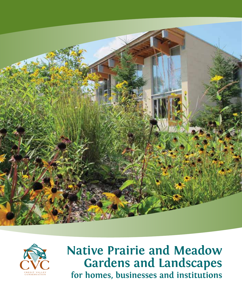



# **Native Prairie and Meadow Gardens and Landscapes for homes, businesses and institutions**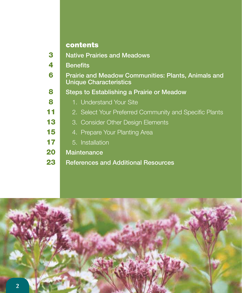## contents

| 3  | <b>Native Prairies and Meadows</b>                                                          |
|----|---------------------------------------------------------------------------------------------|
| 4  | <b>Benefits</b>                                                                             |
| 6  | <b>Prairie and Meadow Communities: Plants, Animals and</b><br><b>Unique Characteristics</b> |
| 8  | <b>Steps to Establishing a Prairie or Meadow</b>                                            |
| 8  | 1. Understand Your Site                                                                     |
| 11 | 2. Select Your Preferred Community and Specific Plants                                      |
| 13 | 3. Consider Other Design Elements                                                           |
| 15 | 4. Prepare Your Planting Area                                                               |
| 17 | 5. Installation                                                                             |
| 20 | <b>Maintenance</b>                                                                          |
| 23 | <b>References and Additional Resources</b>                                                  |
|    |                                                                                             |

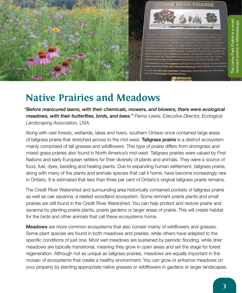

# **Native Prairies and Meadows**

*"Before manicured lawns, with their chemicals, mowers, and blowers, there were ecological meadows, with their butterflies, birds, and bees." Penny Lewis, Executive Director, Ecological Landscaping Association, USA.*

Along with vast forests, wetlands, lakes and rivers, southern Ontario once contained large areas of tallgrass prairie that stretched across to the mid-west. Tallgrass prairie is a distinct ecosystem mainly comprised of tall grasses and wildflowers. This type of prairie differs from shortgrass and mixed grass prairies also found in North America's mid-west. Tallgrass prairies were valued by First Nations and early European settlers for their diversity of plants and animals. They were a source of food, fuel, dyes, bedding and healing plants. Due to expanding human settlement, tallgrass prairie, along with many of the plants and animals species that call it home, have become increasingly rare in Ontario. It is estimated that less than three per cent of Ontario's original tallgrass prairie remains.

The Credit River Watershed and surrounding area historically contained pockets of tallgrass prairie as well as oak savanna, a related woodland ecosystem. Some remnant prairie plants and small prairies are still found in the Credit River Watershed. You can help protect and restore prairie and savanna by planting prairie plants, prairie gardens or larger areas of prairie. This will create habitat for the birds and other animals that call these ecosystems home.

**Meadows** are more common ecosystems that also consist mainly of wildflowers and grasses. Some plant species are found in both meadows and prairies, while others have adapted to the specific conditions of just one. Most wet meadows are sustained by periodic flooding, while drier meadows are typically transitional, meaning they grow in open areas and set the stage for forest regeneration. Although not as unique as tallgrass prairies, meadows are equally important in the mosaic of ecosystems that create a healthy environment. You can grow or enhance meadows on your property by planting appropriate native grasses or wildflowers in gardens or larger landscapes.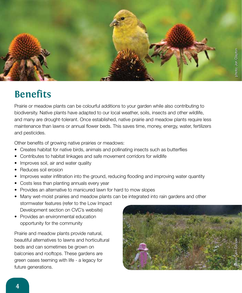

# **Benefits**

Prairie or meadow plants can be colourful additions to your garden while also contributing to biodiversity. Native plants have adapted to our local weather, soils, insects and other wildlife, and many are drought-tolerant. Once established, native prairie and meadow plants require less maintenance than lawns or annual flower beds. This saves time, money, energy, water, fertilizers and pesticides.

Other benefits of growing native prairies or meadows:

- Creates habitat for native birds, animals and pollinating insects such as butterflies
- Contributes to habitat linkages and safe movement corridors for wildlife
- Improves soil, air and water quality
- Reduces soil erosion
- Improves water infiltration into the ground, reducing flooding and improving water quantity
- Costs less than planting annuals every year
- Provides an alternative to manicured lawn for hard to mow slopes
- Many wet-moist prairies and meadow plants can be integrated into rain gardens and other stormwater features (refer to the Low Impact Development section on CVC's website)
- Provides an environmental education opportunity for the community

Prairie and meadow plants provide natural, beautiful alternatives to lawns and horticultural beds and can sometimes be grown on balconies and rooftops. These gardens are green oases teeming with life - a legacy for future generations.

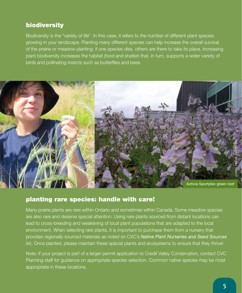### biodiversity

Biodiversity is the "variety of life". In this case, it refers to the number of different plant species growing in your landscape. Planting many different species can help increase the overall survival of the prairie or meadow planting: if one species dies, others are there to take its place. Increasing plant biodiversity increases the habitat (food and shelter) that, in turn, supports a wider variety of birds and pollinating insects such as butterflies and bees.



### planting rare species: handle with care!

Many prairie plants are rare within Ontario and sometimes within Canada. Some meadow species are also rare and deserve special attention. Using rare plants sourced from distant locations can lead to cross-breeding and weakening of local plant populations that are adapted to the local environment. When selecting rare plants, it is important to purchase them from a nursery that provides regionally sourced materials as noted on CVC's *Native Plant Nurseries and Seed Sources* list. Once planted, please maintain these special plants and ecosystems to ensure that they thrive!

Note: If your project is part of a larger permit application to Credit Valley Conservation, contact CVC Planning staff for guidance on appropriate species selection. Common native species may be most appropriate in these locations.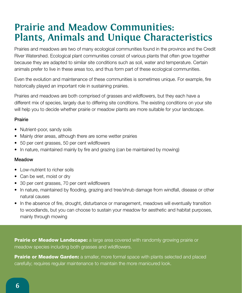# **Prairie and Meadow Communities: Plants, Animals and Unique Characteristics**

Prairies and meadows are two of many ecological communities found in the province and the Credit River Watershed. Ecological plant communities consist of various plants that often grow together because they are adapted to similar site conditions such as soil, water and temperature. Certain animals prefer to live in these areas too, and thus form part of these ecological communities.

Even the evolution and maintenance of these communities is sometimes unique. For example, fire historically played an important role in sustaining prairies.

Prairies and meadows are both comprised of grasses and wildflowers, but they each have a different mix of species, largely due to differing site conditions. The existing conditions on your site will help you to decide whether prairie or meadow plants are more suitable for your landscape.

#### Prairie

- Nutrient-poor, sandy soils
- Mainly drier areas, although there are some wetter prairies
- 50 per cent grasses, 50 per cent wildflowers
- In nature, maintained mainly by fire and grazing (can be maintained by mowing)

#### Meadow

- Low-nutrient to richer soils
- Can be wet, moist or dry
- 30 per cent grasses, 70 per cent wildflowers
- In nature, maintained by flooding, grazing and tree/shrub damage from windfall, disease or other natural causes
- In the absence of fire, drought, disturbance or management, meadows will eventually transition to woodlands, but you can choose to sustain your meadow for aesthetic and habitat purposes, mainly through mowing

**Prairie or Meadow Landscape:** a large area covered with randomly growing prairie or meadow species including both grasses and wildflowers.

**Prairie or Meadow Garden:** a smaller, more formal space with plants selected and placed carefully; requires regular maintenance to maintain the more manicured look.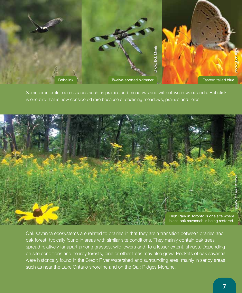

Some birds prefer open spaces such as prairies and meadows and will not live in woodlands. Bobolink is one bird that is now considered rare because of declining meadows, prairies and fields.



Oak savanna ecosystems are related to prairies in that they are a transition between prairies and oak forest, typically found in areas with similar site conditions. They mainly contain oak trees spread relatively far apart among grasses, wildflowers and, to a lesser extent, shrubs. Depending on site conditions and nearby forests, pine or other trees may also grow. Pockets of oak savanna were historically found in the Credit River Watershed and surrounding area, mainly in sandy areas such as near the Lake Ontario shoreline and on the Oak Ridges Moraine.

**7**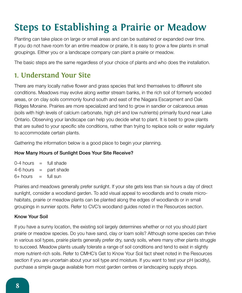# **Steps to Establishing a Prairie or Meadow**

Planting can take place on large or small areas and can be sustained or expanded over time. If you do not have room for an entire meadow or prairie, it is easy to grow a few plants in small groupings. Either you or a landscape company can plant a prairie or meadow.

The basic steps are the same regardless of your choice of plants and who does the installation.

## **1. Understand Your Site**

There are many locally native flower and grass species that lend themselves to different site conditions. Meadows may evolve along wetter stream banks, in the rich soil of formerly wooded areas, or on clay soils commonly found south and east of the Niagara Escarpment and Oak Ridges Moraine. Prairies are more specialized and tend to grow in sandier or calcareous areas (soils with high levels of calcium carbonate, high pH and low nutrients) primarily found near Lake Ontario. Observing your landscape can help you decide what to plant. It is best to grow plants that are suited to your specific site conditions, rather than trying to replace soils or water regularly to accommodate certain plants.

Gathering the information below is a good place to begin your planning.

#### How Many Hours of Sunlight Does Your Site Receive?

 $0-4$  hours  $=$  full shade  $4-6$  hours  $=$  part shade  $6+$  hours  $=$  full sun

Prairies and meadows generally prefer sunlight. If your site gets less than six hours a day of direct sunlight, consider a woodland garden. To add visual appeal to woodlands and to create microhabitats, prairie or meadow plants can be planted along the edges of woodlands or in small groupings in sunnier spots. Refer to CVC's woodland guides noted in the Resources section.

#### Know Your Soil

If you have a sunny location, the existing soil largely determines whether or not you should plant prairie or meadow species. Do you have sand, clay or loam soils? Although some species can thrive in various soil types, prairie plants generally prefer dry, sandy soils, where many other plants struggle to succeed. Meadow plants usually tolerate a range of soil conditions and tend to exist in slightly more nutrient-rich soils. Refer to CMHC's Get to Know Your Soil fact sheet noted in the Resources section if you are uncertain about your soil type and moisture. If you want to test your pH (acidity), purchase a simple gauge available from most garden centres or landscaping supply shops.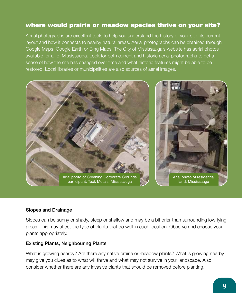### where would prairie or meadow species thrive on your site?

Aerial photographs are excellent tools to help you understand the history of your site, its current layout and how it connects to nearby natural areas. Aerial photographs can be obtained through Google Maps, Google Earth or Bing Maps. The City of Mississauga's website has aerial photos available for all of Mississauga. Look for both current and historic aerial photographs to get a sense of how the site has changed over time and what historic features might be able to be restored. Local libraries or municipalities are also sources of aerial images.



#### Slopes and Drainage

Slopes can be sunny or shady, steep or shallow and may be a bit drier than surrounding low-lying areas. This may affect the type of plants that do well in each location. Observe and choose your plants appropriately.

#### Existing Plants, Neighbouring Plants

What is growing nearby? Are there any native prairie or meadow plants? What is growing nearby may give you clues as to what will thrive and what may not survive in your landscape. Also consider whether there are any invasive plants that should be removed before planting.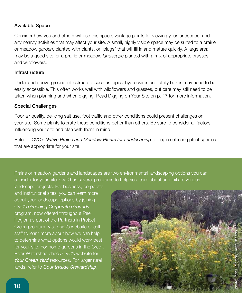#### Available Space

Consider how you and others will use this space, vantage points for viewing your landscape, and any nearby activities that may affect your site. A small, highly visible space may be suited to a prairie or meadow *garden*, planted with plants, or "plugs" that will fill in and mature quickly. A large area may be a good site for a prairie or meadow *landscape* planted with a mix of appropriate grasses and wildflowers.

#### Infrastructure

Under and above-ground infrastructure such as pipes, hydro wires and utility boxes may need to be easily accessible. This often works well with wildflowers and grasses, but care may still need to be taken when planning and when digging. Read Digging on Your Site on p. 17 for more information.

#### Special Challenges

Poor air quality, de-icing salt use, foot traffic and other conditions could present challenges on your site. Some plants tolerate these conditions better than others. Be sure to consider all factors influencing your site and plan with them in mind.

Refer to CVC's *Native Prairie and Meadow Plants for Landscaping* to begin selecting plant species that are appropriate for your site.

Prairie or meadow gardens and landscapes are two environmental landscaping options you can consider for your site. CVC has several programs to help you learn about and initiate various

landscape projects. For business, corporate and institutional sites, you can learn more about your landscape options by joining CVC's *Greening Corporate Grounds* program, now offered throughout Peel Region as part of the Partners in Project Green program. Visit CVC's website or call staff to learn more about how we can help to determine what options would work best for your site. For home gardens in the Credit River Watershed check CVC's website for Your Green Yard resources. For larger rural lands, refer to *Countryside Stewardship*.

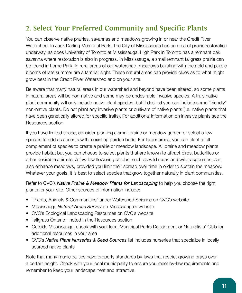## **2. Select Your Preferred Community and Specific Plants**

You can observe native prairies, savannas and meadows growing in or near the Credit River Watershed. In Jack Darling Memorial Park, The City of Mississauga has an area of prairie restoration underway, as does University of Toronto at Mississauga. High Park in Toronto has a remnant oak savanna where restoration is also in progress. In Mississauga, a small remnant tallgrass prairie can be found in Lorne Park. In rural areas of our watershed, meadows bursting with the gold and purple blooms of late summer are a familiar sight. These natural areas can provide clues as to what might grow best in the Credit River Watershed and on your site.

Be aware that many natural areas in our watershed and beyond have been altered, so some plants in natural areas will be non-native and some may be undesirable invasive species. A truly native plant community will only include native plant species, but if desired you can include some "friendly" non-native plants. Do not plant any invasive plants or cultivars of native plants (i.e. native plants that have been genetically altered for specific traits). For additional information on invasive plants see the Resources section.

If you have limited space, consider planting a small prairie or meadow garden or select a few species to add as accents within existing garden beds. For larger areas, you can plant a full complement of species to create a prairie or meadow landscape. All prairie and meadow plants provide habitat but you can choose to select plants that are known to attract birds, butterflies or other desirable animals. A few low flowering shrubs, such as wild roses and wild raspberries, can also enhance meadows, provided you limit their spread over time in order to sustain the meadow. Whatever your goals, it is best to select species that grow together naturally in plant communities.

Refer to CVC's *Native Prairie & Meadow Plants for Landscaping* to help you choose the right plants for your site. Other sources of information include:

- "Plants, Animals & Communities" under Watershed Science on CVC's website
- Mississauga *Natural Areas Survey* on Mississauga's website
- CVC's Ecological Landscaping Resources on CVC's website
- Tallgrass Ontario noted in the Resources section
- Outside Mississauga, check with your local Municipal Parks Department or Naturalists' Club for additional resources in your area
- CVC's *Native Plant Nurseries & Seed Sources* list includes nurseries that specialize in locally sourced native plants

Note that many municipalities have property standards by-laws that restrict growing grass over a certain height. Check with your local municipality to ensure you meet by-law requirements and remember to keep your landscape neat and attractive.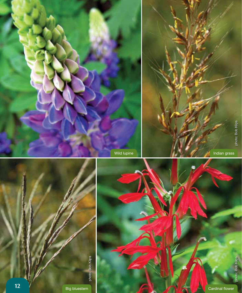





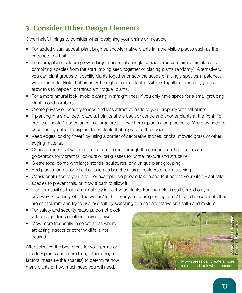## **3. Consider Other Design Elements**

Other helpful things to consider when designing your prairie or meadow:

- For added visual appeal, plant brighter, showier native plants in more visible places such as the entrance to a building.
- In nature, plants seldom grow in large masses of a single species. You can mimic this blend by combining species from the start (mixing seed together or placing plants randomly). Alternatively, you can plant groups of specific plants together or sow the seeds of a single species in patches, waves or drifts. Note that areas with single species planted will mix together over time; you can allow this to happen, or transplant "rogue" plants.
- For a more natural look, avoid planting in straight lines. If you only have space for a small grouping, plant in odd numbers.
- Create privacy or beautify fences and less attractive parts of your property with tall plants.
- If planting in a small bed, place tall plants at the back or centre and shorter plants at the front. To create a "neater" appearance in a large area, grow shorter plants along the edge. You may need to occasionally pull or transplant taller plants that migrate to the edges.
- Keep edges looking "neat" by using a border of decorative stones, bricks, mowed grass or other edging material.
- Choose plants that will add interest and colour through the seasons, such as asters and goldenrods for vibrant fall colours or tall grasses for winter texture and structure.
- Create focal points with large stones, sculptures, or a unique plant grouping.
- Add places for rest or reflection such as benches, large boulders or even a swing.
- Consider all uses of your site. For example, do people take a shortcut across your site? Plant taller species to prevent this, or mow a path to allow it.
- Plan for activities that can negatively impact your plants. For example, is salt spread on your driveway or parking lot in the winter? Is this near your future planting area? If so, choose plants that are salt tolerant and try to use less salt by switching to a salt alternative or a salt-sand mixture.
- For safety and security reasons, do not block vehicle sight lines or other desired views.
- Mow more frequently in select areas where attracting insects or other wildlife is not desired.

After selecting the best areas for your prairie or meadow plants and considering other design factors, measure the space(s) to determine how many plants or how much seed you will need.

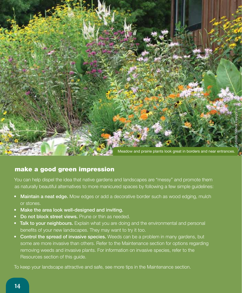

### make a good green impression

You can help dispel the idea that native gardens and landscapes are "messy" and promote them as naturally beautiful alternatives to more manicured spaces by following a few simple guidelines:

- **Maintain a neat edge.** Mow edges or add a decorative border such as wood edging, mulch or stones.
- Make the area look well-designed and inviting.
- Do not block street views. Prune or thin as needed.
- Talk to your neighbours. Explain what you are doing and the environmental and personal benefits of your new landscapes. They may want to try it too.
- Control the spread of invasive species. Weeds can be a problem in many gardens, but some are more invasive than others. Refer to the Maintenance section for options regarding removing weeds and invasive plants. For information on invasive species, refer to the Resources section of this guide.

To keep your landscape attractive and safe, see more tips in the Maintenance section.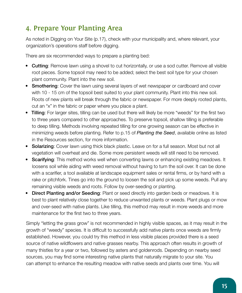## **4. Prepare Your Planting Area**

As noted in Digging on Your Site (p.17), check with your municipality and, where relevant, your organization's operations staff before digging.

There are six recommended ways to prepare a planting bed:

- Cutting: Remove lawn using a shovel to cut horizontally, or use a sod cutter. Remove all visible root pieces. Some topsoil may need to be added; select the best soil type for your chosen plant community. Plant into the new soil.
- Smothering: Cover the lawn using several layers of wet newspaper or cardboard and cover with 10 - 15 cm of the topsoil best suited to your plant community. Plant into this new soil. Roots of new plants will break through the fabric or newspaper. For more deeply rooted plants, cut an "x" in the fabric or paper where you place a plant.
- Tilling: For larger sites, tilling can be used but there will likely be more "weeds" for the first two to three years compared to other approaches. To preserve topsoil, shallow tilling is preferable to deep tilling. Methods involving repeated tilling for one growing season can be effective in minimizing weeds before planting. Refer to p.15 of *Planting the Seed*, available online as listed in the Resources section, for more information.
- Solarizing: Cover lawn using thick black plastic. Leave on for a full season. Most but not all vegetation will overheat and die. Some more persistent weeds will still need to be removed.
- Scarifying: This method works well when converting lawns or enhancing existing meadows. It loosens soil while aiding with weed removal without having to turn the soil over. It can be done with a scarifier, a tool available at landscape equipment sales or rental firms, or by hand with a rake or pitchfork. Tines go into the ground to loosen the soil and pick up some weeds. Pull any remaining visible weeds and roots. Follow by over-seeding or planting.
- Direct Planting and/or Seeding: Plant or seed directly into garden beds or meadows. It is best to plant relatively close together to reduce unwanted plants or weeds. Plant plugs or mow and over-seed with native plants. Like tilling, this method may result in more weeds and more maintenance for the first two to three years.

Simply "letting the grass grow" is not recommended in highly visible spaces, as it may result in the growth of "weedy" species. It is difficult to successfully add native plants once weeds are firmly established. However, you could try this method in less visible places provided there is a seed source of native wildflowers and native grasses nearby. This approach often results in growth of many thistles for a year or two, followed by asters and goldenrods. Depending on nearby seed sources, you may find some interesting native plants that naturally migrate to your site. You can attempt to enhance the resulting meadow with native seeds and plants over time. You will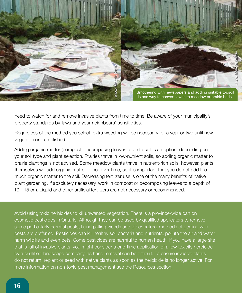

need to watch for and remove invasive plants from time to time. Be aware of your municipality's property standards by-laws and your neighbours' sensitivities.

Regardless of the method you select, extra weeding will be necessary for a year or two until new vegetation is established.

Adding organic matter (compost, decomposing leaves, etc.) to soil is an option, depending on your soil type and plant selection. Prairies thrive in low-nutrient soils, so adding organic matter to prairie plantings is not advised. Some meadow plants thrive in nutrient-rich soils, however, plants themselves will add organic matter to soil over time, so it is important that you do not add too much organic matter to the soil. Decreasing fertilizer use is one of the many benefits of native plant gardening. If absolutely necessary, work in compost or decomposing leaves to a depth of 10 - 15 cm. Liquid and other artificial fertilizers are not necessary or recommended.

Avoid using toxic herbicides to kill unwanted vegetation. There is a province-wide ban on cosmetic pesticides in Ontario. Although they can be used by qualified applicators to remove some particularly harmful pests, hand pulling weeds and other natural methods of dealing with pests are preferred. Pesticides can kill healthy soil bacteria and nutrients, pollute the air and water, harm wildlife and even pets. Some pesticides are harmful to human health. If you have a large site that is full of invasive plants, you might consider a one-time application of a low toxicity herbicide by a qualified landscape company, as hand removal can be difficult. To ensure invasive plants do not return, replant or seed with native plants as soon as the herbicide is no longer active. For more information on non-toxic pest management see the Resources section.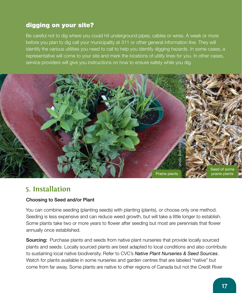### digging on your site?

Be careful not to dig where you could hit underground pipes, cables or wires. A week or more before you plan to dig call your municipality at 311 or other general information line. They will identify the various utilities you need to call to help you identify digging hazards. In some cases, a representative will come to your site and mark the locations of utility lines for you. In other cases, service providers will give you instructions on how to ensure safety while you dig.



### **5. Installation**

#### Choosing to Seed and/or Plant

You can combine seeding (planting seeds) with planting (plants), or choose only one method. Seeding is less expensive and can reduce weed growth, but will take a little longer to establish. Some plants take two or more years to flower after seeding but most are perennials that flower annually once established.

**Sourcing:** Purchase plants and seeds from native plant nurseries that provide locally sourced plants and seeds. Locally sourced plants are best adapted to local conditions and also contribute to sustaining local native biodiversity. Refer to CVC's *Native Plant Nurseries & Seed Sources*. Watch for plants available in some nurseries and garden centres that are labeled "native" but come from far away. Some plants are native to other regions of Canada but not the Credit River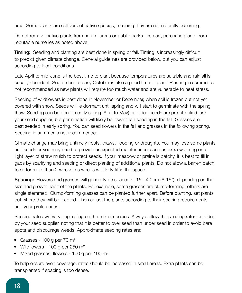area. Some plants are cultivars of native species, meaning they are not naturally occurring.

Do not remove native plants from natural areas or public parks. Instead, purchase plants from reputable nurseries as noted above.

**Timing:** Seeding and planting are best done in spring or fall. Timing is increasingly difficult to predict given climate change. General guidelines are provided below, but you can adjust according to local conditions.

Late April to mid-June is the best time to plant because temperatures are suitable and rainfall is usually abundant. September to early October is also a good time to plant. Planting in summer is not recommended as new plants will require too much water and are vulnerable to heat stress.

Seeding of wildflowers is best done in November or December, when soil is frozen but not yet covered with snow. Seeds will lie dormant until spring and will start to germinate with the spring thaw. Seeding can be done in early spring (April to May) provided seeds are pre-stratified (ask your seed supplier) but germination will likely be lower than seeding in the fall. Grasses are best seeded in early spring. You can seed flowers in the fall and grasses in the following spring. Seeding in summer is not recommended.

Climate change may bring untimely frosts, thaws, flooding or droughts. You may lose some plants and seeds or you may need to provide unexpected maintenance, such as extra watering or a light layer of straw mulch to protect seeds. If your meadow or prairie is patchy, it is best to fill in gaps by scarifying and seeding or direct planting of additional plants. Do not allow a barren patch to sit for more than 2 weeks, as weeds will likely fill in the space.

**Spacing:** Flowers and grasses will generally be spaced at 15 - 40 cm (6-16"), depending on the size and growth habit of the plants. For example, some grasses are clump-forming, others are single stemmed. Clump-forming grasses can be planted further apart. Before planting, set plants out where they will be planted. Then adjust the plants according to their spacing requirements and your preferences.

Seeding rates will vary depending on the mix of species. Always follow the seeding rates provided by your seed supplier, noting that it is better to over seed than under seed in order to avoid bare spots and discourage weeds. Approximate seeding rates are:

- Grasses 100 g per 70 m<sup>2</sup>
- Wildflowers 100 g per 250 m<sup>2</sup>
- Mixed grasses, flowers 100 g per 100 m<sup>2</sup>

To help ensure even coverage, rates should be increased in small areas. Extra plants can be transplanted if spacing is too dense.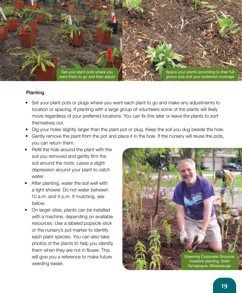

#### Planting

- Set your plant pots or plugs where you want each plant to go and make any adjustments to location or spacing. If planting with a large group of volunteers some of the plants will likely move regardless of your preferred locations. You can fix this later or leave the plants to sort themselves out.
- Dig your holes slightly larger than the plant pot or plug. Keep the soil you dug beside the hole.
- Gently remove the plant from the pot and place it in the hole. If the nursery will reuse the pots, you can return them.
- Refill the hole around the plant with the soil you removed and gently firm the soil around the roots. Leave a slight depression around your plant to catch water.
- After planting, water the soil well with a light shower. Do not water between 10 a.m. and 4 p.m. If mulching, see below.
- On larger sites, plants can be installed with a machine, depending on available resources. Use a labeled popsicle stick or the nursery's pot marker to identify each plant species. You can also take photos of the plants to help you identify them when they are not in flower. This will give you a reference to make future weeding easier.

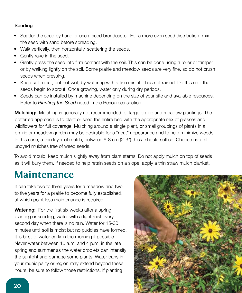#### Seeding

- Scatter the seed by hand or use a seed broadcaster. For a more even seed distribution, mix the seed with sand before spreading.
- Walk vertically, then horizontally, scattering the seeds.
- Gently rake in the seed.
- Gently press the seed into firm contact with the soil. This can be done using a roller or tamper or by walking lightly on the soil. Some prairie and meadow seeds are very fine, so do not crush seeds when pressing.
- Keep soil moist, but not wet, by watering with a fine mist if it has not rained. Do this until the seeds begin to sprout. Once growing, water only during dry periods.
- Seeds can be installed by machine depending on the size of your site and available resources. Refer to *Planting the Seed* noted in the Resources section.

Mulching: Mulching is generally not recommended for large prairie and meadow plantings. The preferred approach is to plant or seed the entire bed with the appropriate mix of grasses and wildflowers for full coverage. Mulching around a single plant, or small groupings of plants in a prairie or meadow garden may be desirable for a "neat" appearance and to help minimize weeds. In this case, a thin layer of mulch, between 6-8 cm (2-3") thick, should suffice. Choose natural, undyed mulches free of weed seeds.

To avoid mould, keep mulch slightly away from plant stems. Do not apply mulch on top of seeds as it will bury them. If needed to help retain seeds on a slope, apply a thin straw mulch blanket.

# **Maintenance**

It can take two to three years for a meadow and two to five years for a prairie to become fully established, at which point less maintenance is required.

Watering: For the first six weeks after a spring planting or seeding, water with a light mist every second day when there is no rain. Water for 15-30 minutes until soil is moist but no puddles have formed. It is best to water early in the morning if possible. Never water between 10 a.m. and 4 p.m. in the late spring and summer as the water droplets can intensify the sunlight and damage some plants. Water bans in your municipality or region may extend beyond these hours; be sure to follow those restrictions. If planting

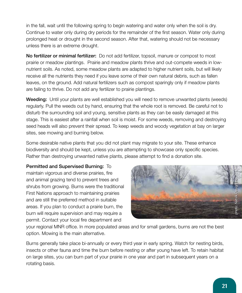in the fall, wait until the following spring to begin watering and water only when the soil is dry. Continue to water only during dry periods for the remainder of the first season. Water only during prolonged heat or drought in the second season. After that, watering should not be necessary unless there is an extreme drought.

No fertilizer or minimal fertilizer: Do not add fertilizer, topsoil, manure or compost to most prairie or meadow plantings. Prairie and meadow plants thrive and out-compete weeds in lownutrient soils. As noted, some meadow plants are adapted to higher nutrient soils, but will likely receive all the nutrients they need if you leave some of their own natural debris, such as fallen leaves, on the ground. Add natural fertilizers such as compost sparingly only if meadow plants are failing to thrive. Do not add any fertilizer to prairie plantings.

Weeding: Until your plants are well established you will need to remove unwanted plants (weeds) regularly. Pull the weeds out by hand, ensuring that the whole root is removed. Be careful not to disturb the surrounding soil and young, sensitive plants as they can be easily damaged at this stage. This is easiest after a rainfall when soil is moist. For some weeds, removing and destroying seed heads will also prevent their spread. To keep weeds and woody vegetation at bay on larger sites, see mowing and burning below.

Some desirable native plants that you did not plant may migrate to your site. These enhance biodiversity and should be kept, unless you are attempting to showcase only specific species. Rather than destroying unwanted native plants, please attempt to find a donation site.

Permitted and Supervised Burning: To maintain vigorous and diverse prairies, fire and animal grazing tend to prevent trees and shrubs from growing. Burns were the traditional First Nations approach to maintaining prairies and are still the preferred method in suitable areas. If you plan to conduct a prairie burn, the burn will require supervision and may require a permit. Contact your local fire department and



your regional MNR office. In more populated areas and for small gardens, burns are not the best option. Mowing is the main alternative.

Burns generally take place bi-annually or every third year in early spring. Watch for nesting birds, insects or other fauna and time the burn before nesting or after young have left. To retain habitat on large sites, you can burn part of your prairie in one year and part in subsequent years on a rotating basis.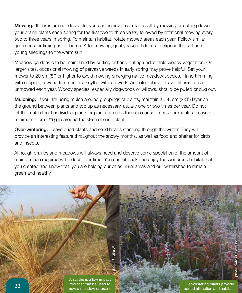**Mowing:** If burns are not desirable, you can achieve a similar result by mowing or cutting down your prairie plants each spring for the first two to three years, followed by rotational mowing every two to three years in spring. To maintain habitat, rotate mowed areas each year. Follow similar guidelines for timing as for burns. After mowing, gently rake off debris to expose the soil and young seedlings to the warm sun.

Meadow gardens can be maintained by cutting or hand pulling undesirable woody vegetation. On larger sites, occasional mowing of pervasive weeds in early spring may prove helpful. Set your mower to 20 cm (8") or higher to avoid mowing emerging native meadow species. Hand trimming with clippers, a weed trimmer, or a scythe will also work. As noted above, leave different areas unmowed each year. Woody species, especially dogwoods or willows, should be pulled or dug out.

**Mulching:** If you are using mulch around groupings of plants, maintain a 6-8 cm (2-3") layer on the ground between plants and top up as necessary, usually one or two times per year. Do not let the mulch touch individual plants or plant stems as this can cause disease or moulds. Leave a minimum 6 cm (2") gap around the stem of each plant.

**Over-wintering:** Leave dried plants and seed heads standing through the winter. They will provide an interesting feature throughout the snowy months, as well as food and shelter for birds and insects.

Although prairies and meadows will always need and deserve some special care, the amount of maintenance required will reduce over time. You can sit back and enjoy the wondrous habitat that you created and know that you are helping our cities, rural areas and our watershed to remain green and healthy.

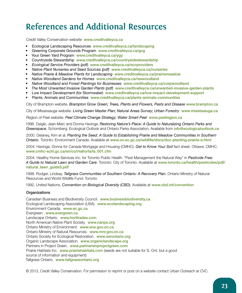## **References and Additional Resources**

Credit Valley Conservation website www.creditvalleyca.ca

- Ecological Landscaping Resources www.creditvalleyca.ca/landscaping
- Greening Corporate Grounds Program www.creditvalleyca.ca/gcg
- Your Green Yard Program www.creditvalleyca.ca/ygy
- Countryside Stewardship www.creditvalleyca.ca/countrysidestewardship
- *Ecological Service Providers (pdf)* www.creditvalleyca.ca/ecoproviders
- *Native Plant Nurseries and Seed Sources (pdf)* www.creditvalleyca.ca/nurseries
- *Native Prairie & Meadow Plants for Landscaping* www.creditvalleyca.ca/prairiemeadow
- *Native Woodland Gardens for Homes* www.creditvalleyca.ca/reswoodland
- *Native Woodland and Forest Plantings for Businesses* www.creditvalleyca.ca/corpwoodland
- *The Most Unwanted Invasive Garden Plants (pdf)* www.creditvalleyca.ca/unwanted-invasive-garden-plants
- Low Impact Development (for Stormwater)www.creditvalleyca.ca/low-impact-development-support
- Plants, Animals and Communities www.creditvalleyca.ca/plants-animals-communities

City of Brampton website. *Brampton Grow Green; Trees, Plants and Flowers, Pests and Disease www.brampton.ca* 

City of Mississauga website. *Living Green Master Plan; Natural Areas Survey; Urban Forestry* www.mississauga.ca

Region of Peel website. *Peel Climate Change Strategy; Water Smart Peel* www.peelregion.ca

1996. Daigle, Jean-Marc and Donna Havinga. *Restoring Nature's Place: A Guide to Naturalizing Ontario Parks and Greenspace*. Schomberg: Ecological Outlook and Ontario Parks Association. Available from info@ecologicaloutlook.ca

2000. Delaney, Kim et al. *Planting the Seed: A Guide to Establishing Prairie and Meadow Communities in Southern Ontario.* Toronto: Environment Canada. Available at www.on.ec.gc.ca/wildlife/docs/doc-planting-prairie-e.html

2004. Havinga, Donna for Canada Mortgage and Housing (CMHC). *Get to Know Your Soil* fact sheet. Ottawa: CMHC. www.cmhc-schl.gc.ca/en/co/maho/la/la\_001.cfm

2004. Healthy Home Services Inc. for Toronto Public Health. "Pest Management the Natural Way" in *Pesticide Free: A Guide to Natural Lawn and Garden Care*. Toronto: City of Toronto. Available at www.toronto.ca/health/pesticides/pdf/ natural\_lawn\_guide5.pdf

1998. Rodger, Lindsay. *Tallgrass Communities of Southern Ontario: A Recovery Plan.* Ontario Ministry of Natural Resources and World Wildlife Fund: Toronto

1992. United Nations. *Convention on Biological Diversity (CBD).* Available at www.cbd.int/convention

#### **Organizations**

Canadian Business and Biodiversity Council. www.businessbiodiversity.ca Ecological Landscaping Association (USA). www.ecolandscaping.org Environment Canada. www.ec.gc.ca Evergreen. www.evergreen.ca Landscape Ontario. www.horttrades.com North American Native Plant Society. www.nanps.org Ontario Ministry of Environment. www.ene.gov.on.ca Ontario Ministry of Natural Resources. www.mnr.gov.on.ca Ontario Society for Ecological Restoration. www.serontario.org Organic Landscape Association. www.organiclandscape.org Partners in Project Green. www.partnersinprojectgreen.com Prairie Habitats Inc. www.prairiehabitats.com (seeds are not suitable for S. Ont. but a good source of information and equipment) Tallgrass Ontario. www.tallgrassontario.org

© 2013, Credit Valley Conservation. For permission to reprint or post on a website contact Urban Outreach at CVC.